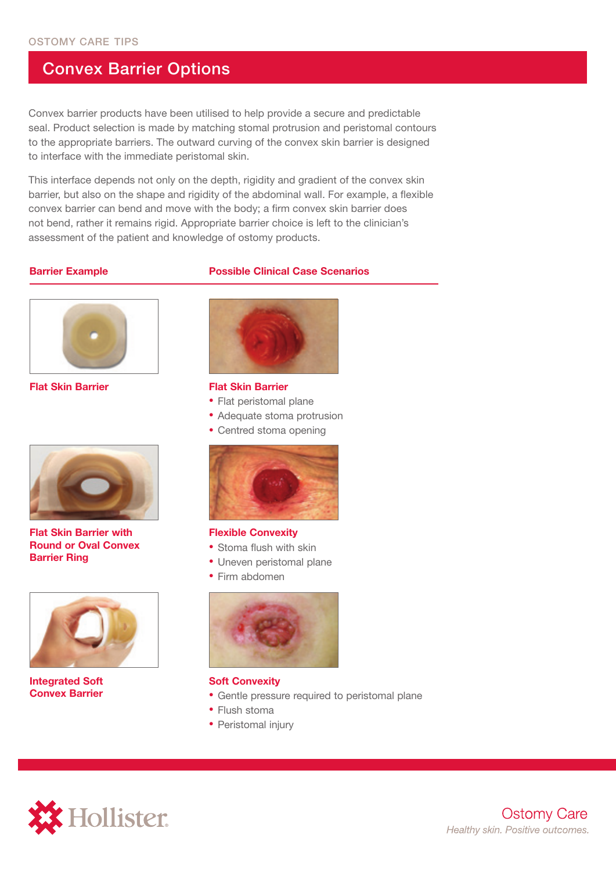## Convex Barrier Options

Convex barrier products have been utilised to help provide a secure and predictable seal. Product selection is made by matching stomal protrusion and peristomal contours to the appropriate barriers. The outward curving of the convex skin barrier is designed to interface with the immediate peristomal skin.

This interface depends not only on the depth, rigidity and gradient of the convex skin barrier, but also on the shape and rigidity of the abdominal wall. For example, a flexible convex barrier can bend and move with the body; a firm convex skin barrier does not bend, rather it remains rigid. Appropriate barrier choice is left to the clinician's assessment of the patient and knowledge of ostomy products.

### **Barrier Example Possible Clinical Case Scenarios**



**Flat Skin Barrier**



#### **Flat Skin Barrier**

- Flat peristomal plane
- Adequate stoma protrusion
- Centred stoma opening



**Flat Skin Barrier with Round or Oval Convex Barrier Ring** 



**Integrated Soft Convex Barrier** 



#### **Flexible Convexity**

- Stoma flush with skin
- Uneven peristomal plane
- Firm abdomen



### **Soft Convexity**

- Gentle pressure required to peristomal plane
- Flush stoma
- Peristomal injury